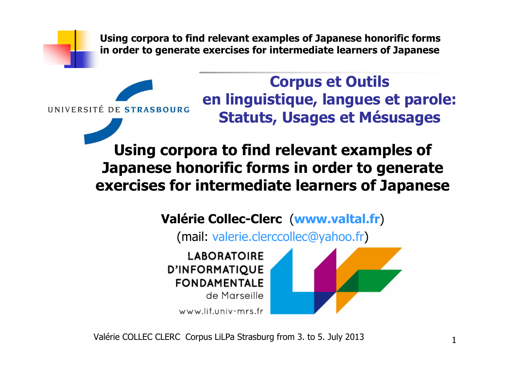

**Corpus et Outils en linguistique, langues et parole: Statuts, Usages et Mésusages**

**Using corpora to find relevant examples of Japanese honorific forms in order to generate exercises for intermediate learners of Japanese**

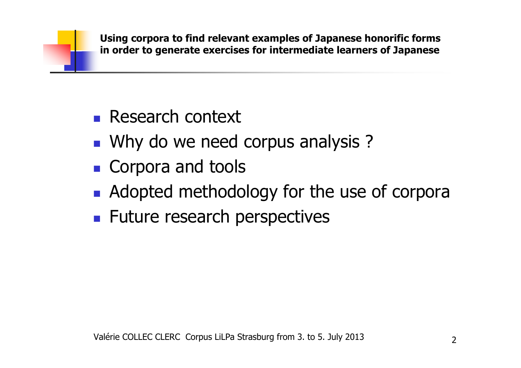- $\mathbb{R}^n$ **Research context**
- $\mathbb{R}^n$ **Notal Ky Marko we need corpus analysis ?**
- $\mathbb{R}^n$ **Corpora and tools**
- $\mathbb{R}^n$ **Adopted methodology for the use of corpora**
- $\mathbb{R}^2$ **Future research perspectives**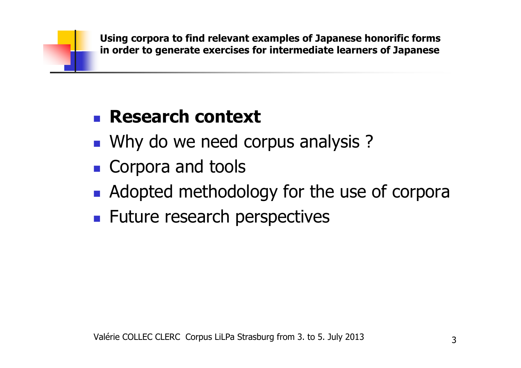- $\mathbb{R}^n$ **Notal Ky Marko we need corpus analysis ?**
- $\mathbb{R}^n$ **Corpora and tools**
- $\mathbb{R}^n$ **Adopted methodology for the use of corpora**
- $\mathbb{R}^2$ **Future research perspectives**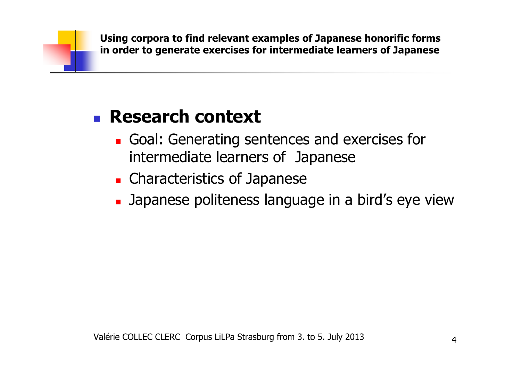- $\mathbb{R}^n$ Goal: Generating sentences and exercises for intermediate learners of Japanese
- H. **Exercistics of Japanese**
- $\mathbb{R}^n$ Japanese politeness language in a bird's eye view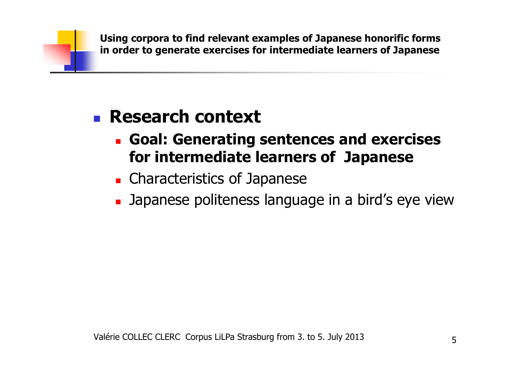- $\mathbb{R}^n$  **Goal: Generating sentences and exercises for intermediate learners of Japanese**
- H. **Exercistics of Japanese**
- $\mathbb{R}^n$ Japanese politeness language in a bird's eye view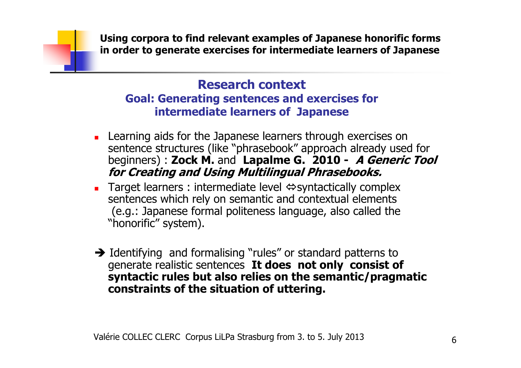### **Research context Goal: Generating sentences and exercises for intermediate learners of Japanese**

- **Learning aids for the Japanese learners through exercises on** sentence structures (like "phrasebook" approach already used for<br>beginners) : Zock M. and Lapalme G. 2010 - A Generic Too beginners) : **Zock M.** and **Lapalme G. 2010 - A Generic Tool for Creating and Using Multilingual Phrasebooks.**
- **Target learners : intermediate level**  $\Leftrightarrow$  **syntactically complex** sentences which rely on semantic and contextual elements (e.g.: Japanese formal politeness language, also called the "honorific" system).
- Identifying and formalising "rules" or standard patterns to<br>generate realistic sentences **It does not only consist of** generate realistic sentences **It does not only consist of syntactic rules but also relies on the semantic/pragmatic constraints of the situation of uttering.**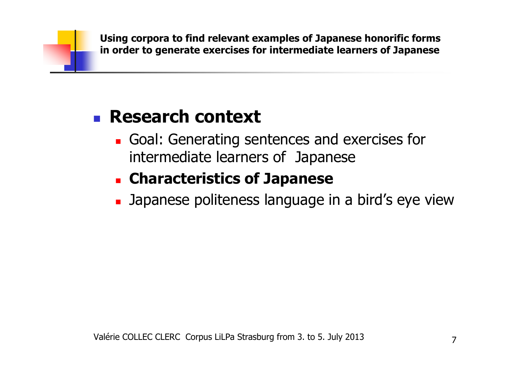#### $\mathbb{R}^n$ **Research context**

 $\mathbb{R}^n$ Goal: Generating sentences and exercises for intermediate learners of Japanese

#### H. **Characteristics of Japanese**

 $\mathbb{R}^n$ Japanese politeness language in a bird's eye view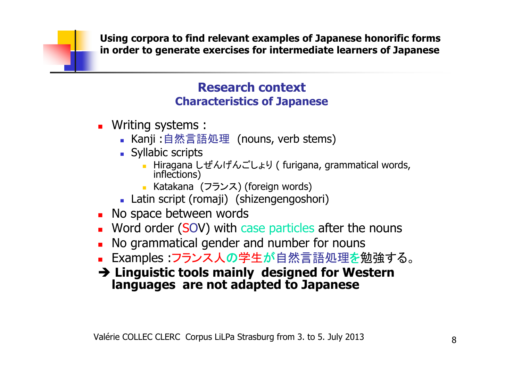### **Research contextCharacteristics of Japanese**

- Writing systems :
	- Kanji :自然言語処理(nouns, verb stems)<br>■ Syllabic scrints
	- **Syllabic scripts** 
		- Hiragana しぜんげんごしょり ( furigana, grammatical words,<br>inflections)
		- Katakana (フランス) (foreign words)<br>tin script (romaii) (shizengengosh
	- Latin script (romaji) (shizengengoshori)<br>o space between words
- ▔ **No space between words**
- Word order (SOV) with a **Nord order (SOV) with case particles after the nouns**
- No grammati **No grammatical gender and number for nouns**
- Examples :フランス人の学生が自然言語処理を ■ Examples :フランス人の学生が自然言語処理<mark>を</mark>勉強する。
- **Linguistic tools mainly designed for Western languages are not adapted to Japanese**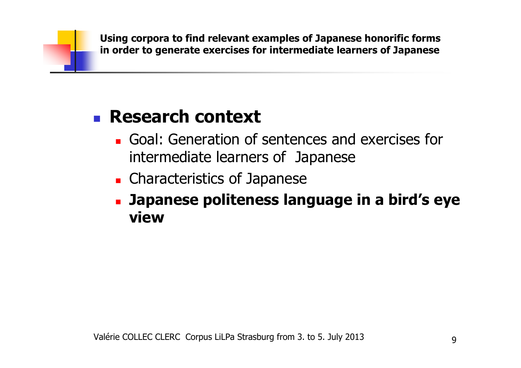- $\mathbb{R}^n$ Goal: Generation of sentences and exercises for intermediate learners of Japanese
- H. **Exercistics of Japanese**
- $\mathbb{R}^n$  **Japanese politeness language in a bird's eye view**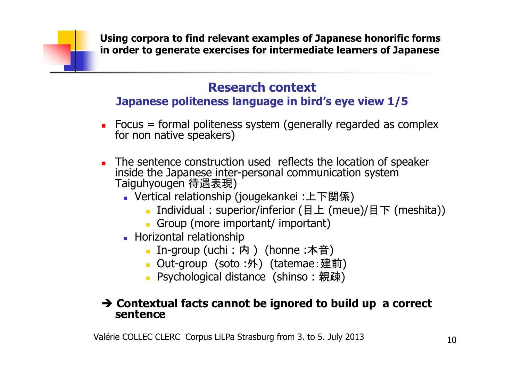### **Research contextJapanese politeness language in bird's eye view 1/5**

- $\blacksquare$ Focus = formal politeness system (generally regarded as complex for non native speakers)
- $\blacksquare$  The sentence construction used reflects the location of speaker inside the Japanese inter-personal communication system 待遇表現)
	- Vertical relationship (jougekankei :上下関係)<br>Individual : superior/inferior (日上 /meu
		- Individual : superior/inferior (目上 (meue)/目下 (meshita))<br>■ Groun (more important/ important)
		- Group (more important/ important)
	- **Horizontal relationship** 
		- In-group (uchi : 内 ) (honne :本音)<br>■ Out-groun(soto :外)(tatemae 建)
		- Out-group(soto :外)(tatemae : 建前)<br>■ Psychological distance(shinso : 親疎)
		- Psychological distance (shinso:親疎)

### **Contextual facts cannot be ignored to build up a correct sentence**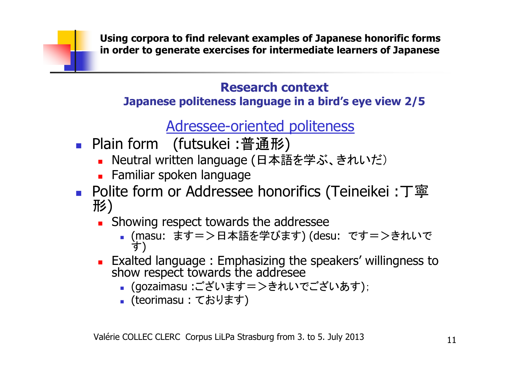### **Research contextJapanese politeness language in a bird's eye view 2/5**

# Adressee-oriented politeness

- П ■ Plain form (futsukei :普通形)<br>■ Neutral written language (日本語
	- ▔ ■ Neutral written language (日本語を学ぶ、きれいだ)
	- ▔ Familiar spoken language
- П ■ Polite form or Addressee honorifics (Teineikei :丁寧<br>形) 形)
	- ▔ **Showing respect towards the addressee** 
		- (masu: ます=>日本語を学びます) (desu: です=>きれいです)
	- ▔ Exalted language : Emphasizing the speakers' willingness to show respect towards the addresee
		- ■(gozaimasu :ございます=>きれい ■ (gozaimasu :ございます=>きれいでございあす);<br>■ (teorimasu : ております)
		- П ■ (teorimasu : ております)<br>-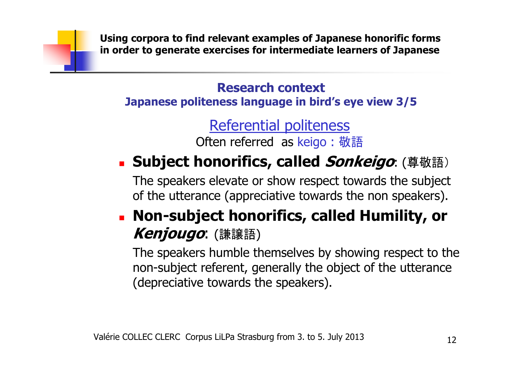**Research contextJapanese politeness language in bird's eye view 3/5**

> Referential politeness Often referred as keigo : 敬語

#### × **Subject honorifics, called Sonkeigo**: (尊敬語)

The speakers elevate or show respect towards the subject of the utterance (appreciative towards the non speakers).

### × **Non-subject honorifics, called Humility, or Kenjougo**: (謙譲語)

The speakers humble themselves by showing respect to the non-subject referent, generally the object of the utterance (depreciative towards the speakers).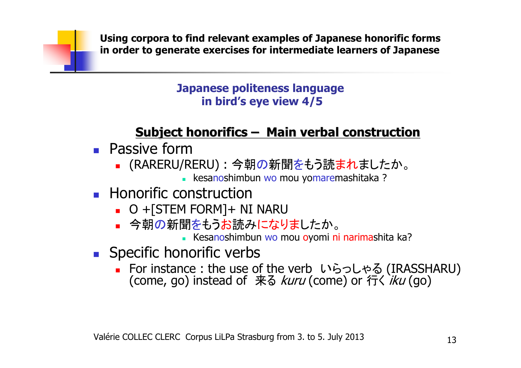### **Japanese politeness languagein bird's eye view 4/5**

# **Subject honorifics– Main verbal construction**

- o, **Passive form** 
	- П ■ (RARERU/RERU) : 今朝の新聞をもう読まれましたか。
		- kesanoshimbun wo mou yomaremashitaka ?<br>seetay yatio n
- F. **Honorific construction** 
	- L. O +[STEM FORM]+ NI NARU
	- 今朝の新聞をもっお読みにな ■ 今朝の新聞をもうお読みになりましたか。
		- Kesanoshimbun wo mou oyomi ni narimashita ka?<br>- arifi a voarba
- F. **Specific honorific verbs** 
	- $\blacksquare$  For instance : the use of ■ For instance : the use of the verb いらっしゃる For instance : the use of the verb いらっしゃる (IRASSHARU)<br>(come, go) instead of 来る *kuru* (come) or 行く *iku* (go) る *kuru* (come) or 行く *iku* (go)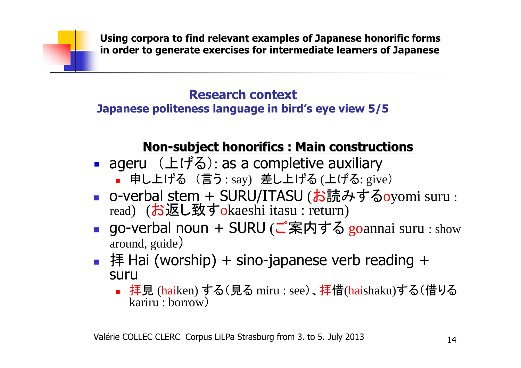# **Research context**

### **Japanese politeness language in bird's eye view 5/5**

# **Non-subject honorifics : Main constructions**

- ageru (上げる): as a completive auxiliary
	- 申し上げる (言う: say) 差し上げる(上げる: give)<br>、verkel.cters. 」CUDUバエACU (ホミキュ・ナス
- F ■ o-verbal stem + SURU/ITASU (お読みするoyomi suru : read) (お返し致すokaeshi itasu : return)
- F ■ go-verbal noun + SURU (ご案内する goannai suru : show<br>around\_guide) around, guide)
- 拝 Hai (worship) + sino-japanese verb reading +<br>suru suru
	- 拝見 (<mark>hai</mark>ken)する(見る miru : see)、<mark>拝</mark>借(haishaku)する(借りる<br>- kariru : borrow) kariru : borrow)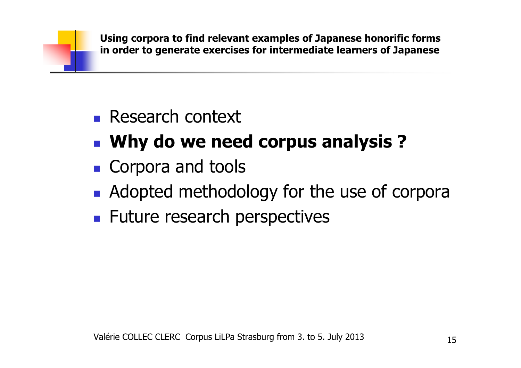- $\mathbb{R}^n$ **Why do we need corpus analysis ?**
- $\mathbb{R}^n$ **Corpora and tools**
- $\mathbb{R}^n$ **Adopted methodology for the use of corpora**
- $\mathbb{R}^2$ **Future research perspectives**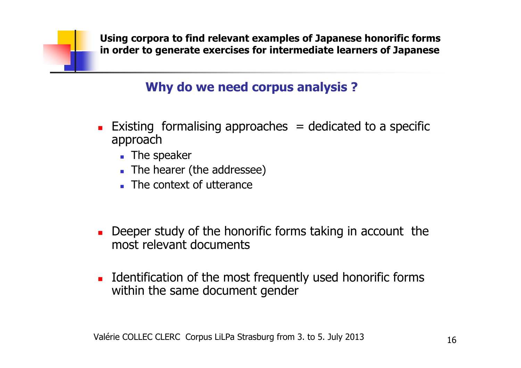## **Why do we need corpus analysis ?**

- ▔ **Existing formalising approaches = dedicated to a specific** approach
	- The speaker
	- **The hearer (the addressee)**
	- **The context of utterance**
- ▔ **Deeper study of the honorific forms taking in account the** most relevant documents
- ▔ **IDENTIFICATO INTUATE:** Internal the most frequently used honorific forms within the same document gender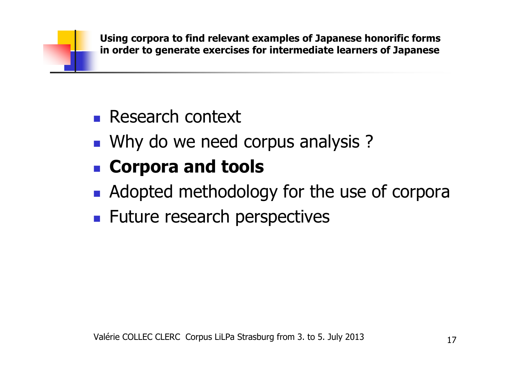- $\mathbb{R}^n$ **Research context**
- $\mathbb{R}^n$ **Notal Ky Marko we need corpus analysis ?**
- $\mathbb{R}^n$ **Corpora and tools**
- $\mathbb{R}^n$ **Adopted methodology for the use of corpora**
- $\mathbb{R}^2$ **Future research perspectives**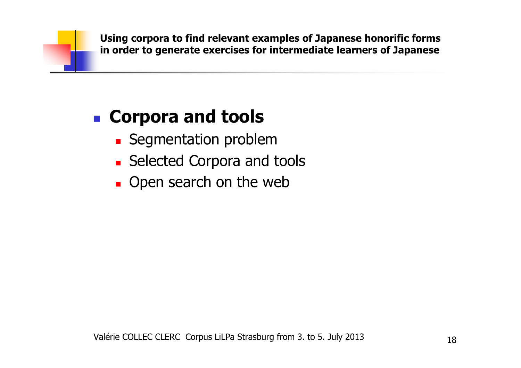#### $\mathbb{R}^n$ **Corpora and tools**

- $\mathbb{R}^n$ **Segmentation problem**
- Selected Corpora and **Exercice Selected Corpora and tools**
- $\mathbb{R}^n$ **.** Open search on the web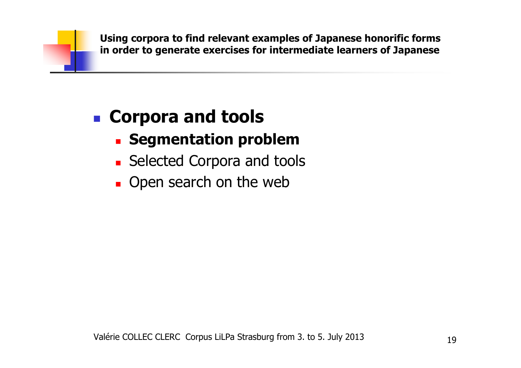#### $\mathbb{R}^n$ **Corpora and tools**

- $\mathbb{R}^n$ **Example 1 Segmentation problem**
- **. Selected Corpora and to Exercice Selected Corpora and tools**
- $\mathbb{R}^n$ **.** Open search on the web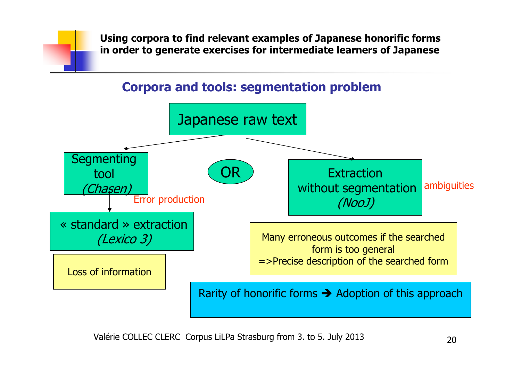### **Corpora and tools: segmentation problem**

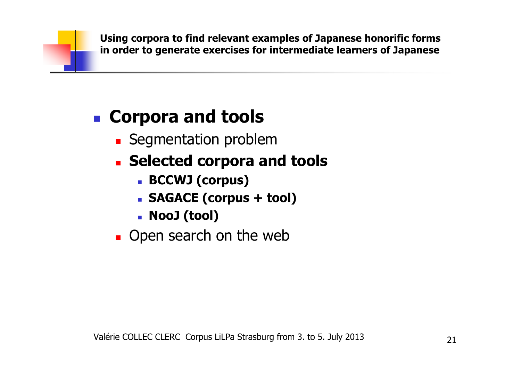### $\mathbb{R}^n$ **Corpora and tools**

- $\mathbb{R}^n$ **Segmentation problem**
- Selected corpora a **Selected corpora and tools**
	- **BCCWJ (corpus)**
	- **SAGACE (corpus + tool)**
	- L **NooJ (tool)**
- $\mathbb{R}^n$ **.** Open search on the web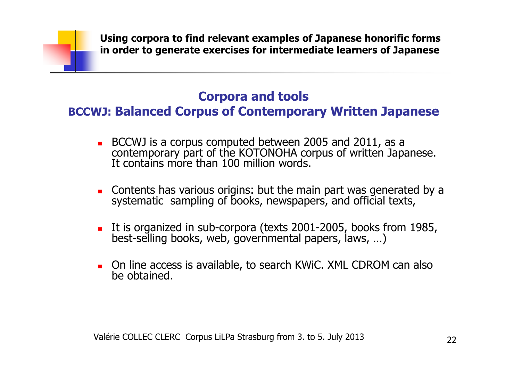## **Corpora and tools**

### **BCCWJ: Balanced Corpus of Contemporary Written Japanese**

- BCCWJ is a corpus computed between 2005 and 2011, as a contemporary part of the KOTONOHA corpus of written Japanese. It contains more than 100 million words.
- Contents has various origins: but the main part was generated by a systematic sampling of books, newspapers, and official texts,
- It is organized in sub-corpora (texts 2001-2005, books from 1985,<br>best-selling books, web, governmental papers, laws, ...)
- On line access is available, to search KWiC. XML CDROM can also be obtained.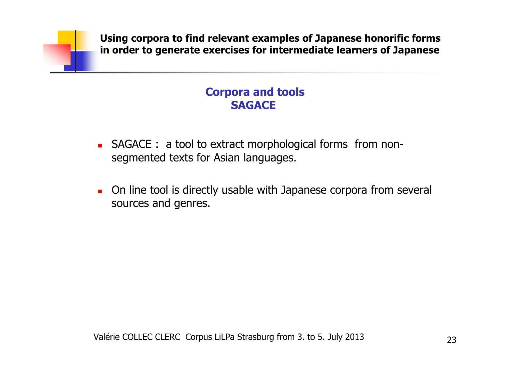### **Corpora and tools SAGACE**

- **SAGACE :** a tool to extract morphological forms from nonsegmented texts for Asian languages.
- **On line tool is directly usable with Japanese corpora from several** sources and genres.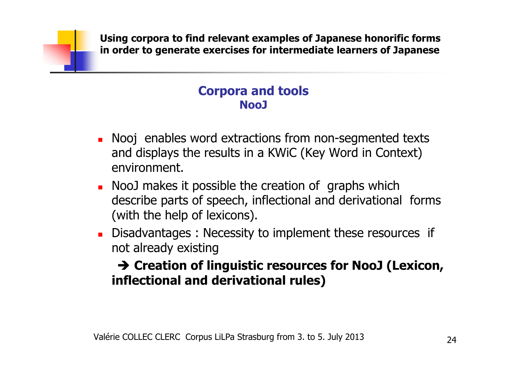### **Corpora and tools NooJ**

- ٠ Nooj enables word extractions from non-segmented texts<br>and displays the results in a KWiC (Key Word in Context) and displays the results in a KWiC (Key Word in Context) environment.
- ▔ NooJ makes it possible the creation of graphs which<br>describe parts of speech, inflectional and derivationa describe parts of speech, inflectional and derivational forms (with the help of lexicons).
- ▔ Disadvantages: Necessity to implement these resources if not already existing

## **Creation of linguistic resources for NooJ (Lexicon, inflectional and derivational rules)**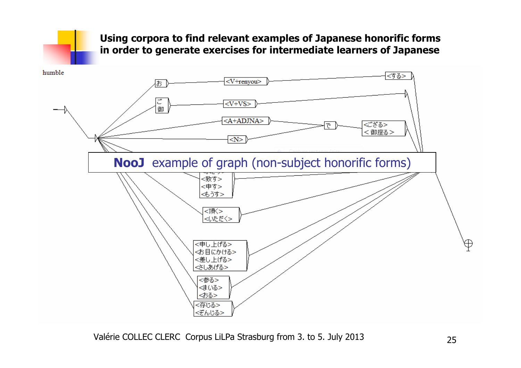

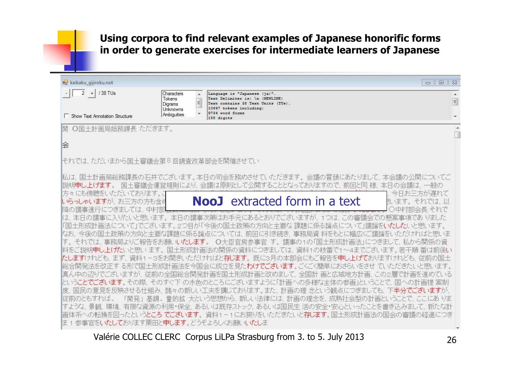| kaikaku_gijiroku.not                                                                                                                      |                                                                                |                                                                                                                                  | $\Sigma$<br>回<br>$\equiv$                                                                                                                                    |  |  |
|-------------------------------------------------------------------------------------------------------------------------------------------|--------------------------------------------------------------------------------|----------------------------------------------------------------------------------------------------------------------------------|--------------------------------------------------------------------------------------------------------------------------------------------------------------|--|--|
| $\overline{2}$<br>/38 TUs                                                                                                                 | Characters<br>∸<br>Tokens<br>$\mathbf{H}_{\mathrm{in}}$<br>Digrams<br>Unknowns | Language is "Japanese (ja)".<br>Text Delimiter is: \n (NEWLINE)<br>Text contains 38 Text Units (TUs).<br>10647 tokens including: | E                                                                                                                                                            |  |  |
| <b>Show Text Annotation Structure</b>                                                                                                     | Ambiguities                                                                    | 9734 word forms<br>158 digits                                                                                                    |                                                                                                                                                              |  |  |
| ○国土計画局総務課長 ただきます。<br>開                                                                                                                    |                                                                                |                                                                                                                                  |                                                                                                                                                              |  |  |
|                                                                                                                                           |                                                                                |                                                                                                                                  |                                                                                                                                                              |  |  |
| 侩                                                                                                                                         |                                                                                |                                                                                                                                  |                                                                                                                                                              |  |  |
| それでは、ただいまから国土審議会第8回調査改革部会を開催させてい                                                                                                          |                                                                                |                                                                                                                                  |                                                                                                                                                              |  |  |
|                                                                                                                                           |                                                                                |                                                                                                                                  | 私は、国土計画局総務課長の石井でございます。本日の司会を務めさせていただきます。 会議の冒頭にあたりまして、 本会議の公開についてご                                                                                           |  |  |
| 国土審議会運営規則により、会議は原則として公開することとなっておりますので、 前回と同 様、 本日の会議は、 一般の<br>膨明申し上げます。                                                                   |                                                                                |                                                                                                                                  |                                                                                                                                                              |  |  |
| 方々にも傍聴をいただいております。こ                                                                                                                        |                                                                                | <b>NooJ</b> extracted form in a text                                                                                             | 今日お三方が遅れて                                                                                                                                                    |  |  |
| いらっしゃいますが、 お三方の方も含め<br>降の議事進行につきましては、中村部                                                                                                  |                                                                                |                                                                                                                                  | 則います。 それでは、以<br> 中村部会長 それで                                                                                                                                   |  |  |
|                                                                                                                                           |                                                                                |                                                                                                                                  | は、本日の議事に入りたいと思います。本日の議事次第はお手元にあるとおりでございますが、1つは、この審議会での懸案事項でありました                                                                                             |  |  |
|                                                                                                                                           |                                                                                |                                                                                                                                  | 「国土形成計画法について」でございます。2つ目が「今後の国土政策の方向と主要な課題に係る論点について」議論をいたしたいと思います。                                                                                            |  |  |
| なお、 今後の国土政策の方向と主要な課題に係る論点については、 前回に引き続き、 事務局資 料をもとに幅広くご議論をいただければと思いま<br>す。それでは、事務局よりご報告をお願いいたします。 O大臣官房参事官 す。議事の1の「国土形成計画法」につきまして、私から関係の資 |                                                                                |                                                                                                                                  |                                                                                                                                                              |  |  |
|                                                                                                                                           |                                                                                |                                                                                                                                  | 料をご説明申し上(ガェいと思います。 国土形成計画法の関係の資料につきましては、 資料1の枝番で1~4までございます。 若干順 番は前後い                                                                                        |  |  |
|                                                                                                                                           |                                                                                |                                                                                                                                  | たしますけれども、まず、資料1-3をお開きいただければと存じます。 既に3月の本部会にもご報告を申し上げておりますけれども、 従前の国土                                                                                         |  |  |
|                                                                                                                                           |                                                                                |                                                                                                                                  | 総合開発法を改正す る形で国土形成計画法を今国会に成立を見た <b>わけでございます</b> 。ごくごく簡単におさらいをさせ ていただきたいと思います。                                                                                 |  |  |
|                                                                                                                                           |                                                                                |                                                                                                                                  | 真ん中の辺りでございますが、 従前の全国総合開発計画を国土形成計画と改めまして、 全国計 画と広域地方計画、この2層で計画を進めている<br>ということでございます。その際、そのすぐ下 の水色のところにございますように「計画への多様な主体の参画」ということで、国への計画提 案制                  |  |  |
| 度.                                                                                                                                        |                                                                                |                                                                                                                                  | 国民の意見を反映させる仕組み、諸々の新しい工夫を講じております。また、計画の理念という観点につきましても、下半分でございますが、                                                                                             |  |  |
| 従前のともすれば、                                                                                                                                 |                                                                                |                                                                                                                                  | 「開発」基調、量的拡 大という思想から、新しい法律には、計画の理念を、成熟社会型の計画ということで、ここにあ りま                                                                                                    |  |  |
|                                                                                                                                           |                                                                                |                                                                                                                                  | すような、景観、環境、有限な資源の利用・保全、あるいは既存ストック、あるいは国民生 活の安全・安心といったことを書き込みまして、新たな計<br>画体系への転換を図ったという <b>ところ でございます</b> 。資料1-1にお戻りをいただきたいと <b>存じます</b> 。国土形成計画法の国会の審議の経過につき |  |  |
| ほ 1 参事官を <b>いたして</b> おります栗田と <b>申します</b> 。どうぞよろしくお願いい <b>たし</b> ま                                                                         |                                                                                |                                                                                                                                  |                                                                                                                                                              |  |  |
|                                                                                                                                           |                                                                                |                                                                                                                                  |                                                                                                                                                              |  |  |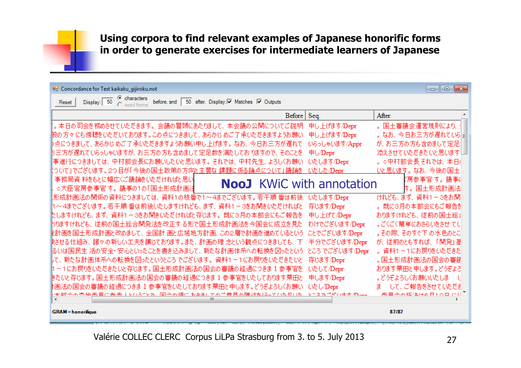#### <sup>D</sup> Concordance for Text kaikaku\_gijiroku.not

 $\Box$ e $\mathbf{x}$ 

| <b>C</b> characters<br>before, and 50 after. Display: Ø Matches Ø Outputs<br>Display: 50<br>Reset                  |                 |                                     |
|--------------------------------------------------------------------------------------------------------------------|-----------------|-------------------------------------|
| Before                                                                                                             | Seq.            | After                               |
| 。本日の司会を務めさせていただきます。会議の冒頭にあたりまして、本会議の公開についてご説明                                                                      | 申し上げます/Depr     | 。国土審議会運営規則により、                      |
| 股の方々 にも傍聴をいただいております。この点につきまして、 あらかじ めご了 承いただきますようお願い                                                               | 申し上げます/Depr     | 。なお、今日お三方が遅れてい引引                    |
| 『点につきまして、あらかじ めご了 承いただきますようお願い申し上げます。 なお、 今日お三 方が遅れて                                                               | いらっしゃいます/Appr   | が、お三方の方も含めまして定足                     |
| お三方が遅れていらっしゃいますが、お三方の方も含めまして定足数を満たしておりますので、 そのことを                                                                  | 申し/Depr         | 添えさせていただきたいと思います!                   |
| 事進行につきましては、中村部会長にお願いしたいと思います。それでは、中村先生、よろしくお願い                                                                     | いたします/Depr      | 。○中村部会長それでは、本日(                     |
| ○いて」でございます。2つ目が「今後の国土政策の方向と主要な 課題に係る論点について」議論を                                                                     | いたした/Depr       | いと思います。なお、今後の国土                     |
| 事務局資 料をもとに幅広くご議論をいただければと思い<br><b>NooJ</b> KWiC with annotation<br>○大臣官房参事官す。議事の1の「国土形成計画法                          |                 | !房参事官す。議事。 <br>す。国土形成計画法            |
| 形成計画法の関係の資料につきましては、資料1の枝番で1~4までございます。若干順 番は前後 (いたします/Depr                                                          |                 | けれども、まず、資料1-3をお開                    |
| Ⅱ~4までございます。若干順 番は前後いたしますけれども、まず、 資料1 − 3をお開きいただければと                                                                | 存じます/Depr       | 。既に3月の本部会にもご報告を                     |
| たしますけれども、まず、資料1-3をお開きいただければと存じます。 既に3月の本部会にもご報告を                                                                   | 申し上げて/Depr      | おりますけれども、従前の国土総計                    |
| 59ますけれども、 従前の国土総合開発法を改正する形で国土形成計画法を今国会に成立を見た                                                                       | わけでございます/Depr   | 。ごくごく簡単におさらいをさせ てし                  |
| 離計画を国土形成計画と改めまして、 全国計 画と広域地方計画、この2層で計画を進めているという                                                                    | ことでございます/Depr   | 。その際、そのすぐ下 の水色のとこ                   |
| 快させる仕組み、諸々の新しい工夫を講じております。また、計画の理 念という観点につきましても、 下                                                                  | 半分でございます/Depr   | が、従前のともすれば、「開発」基                    |
| るいは国民生 活の安全・安心といったことを書き込みまして、 新たな計画体系への転換を図ったという                                                                   | ところ でございます/Depr | 。資料1-1にお戻りをいただきた                    |
| もて、新たな計画体系への転換を図ったというところでございます。 資料1-1にお戻りをいただきたいと                                                                  | 存じます/Depr       | 。国土形成計画法の国会の審議                      |
| Ⅱ−1にお戻りをいただきたいと存じます。国土形成計画法の国会の審議の経過につきま1参事官を                                                                      | いたして/Depr       | おります栗田と申します。どうぞよろ                   |
| きたいと存じます。国土形成計画法の国会の審議の経過につきま 1 参事官をいたしております栗田と                                                                    | 申します/Depr       | 。どうぞよろしくお願いいたしま                     |
| 上画法の国会の審議の経過につきま 1 参事官をいたしております栗田と申します。どうぞよろしくお願い<br>★如今の杏地禾昌に糸书↓レイトステレマ 国今の坦におきも てのご音目の随途を行っていただいた 『レテスマガージハヰ古の~~ | いたし/Depr        | まーして、ご報告をさせていただき<br>禾昌全木極江住高日1百日 仁銀 |
| m.                                                                                                                 |                 |                                     |
|                                                                                                                    |                 |                                     |

**GRAM** = honorifique

87/87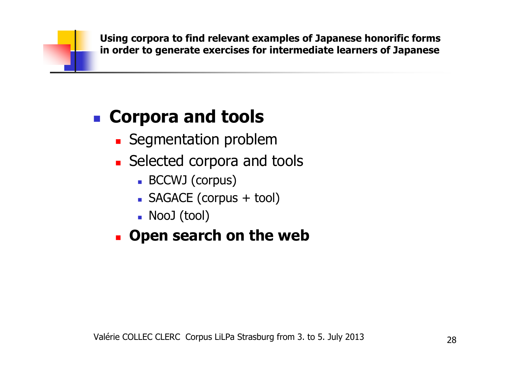### $\mathbb{R}^n$ **Corpora and tools**

- $\mathbb{R}^n$ **Segmentation problem**
- Selected corpora and **Selected corpora and tools** 
	- BCCWJ (corpus)
	- SAGACE (corpus + tool)
	- L NooJ (tool)

#### $\mathbb{R}^n$ **Open search on the web**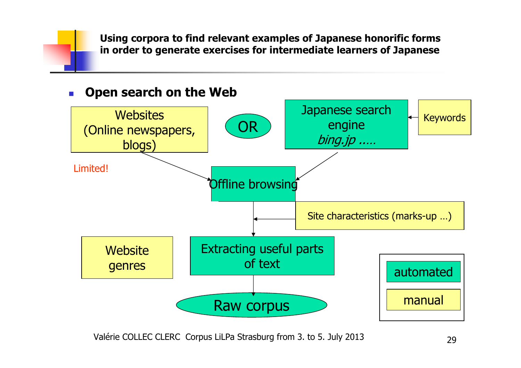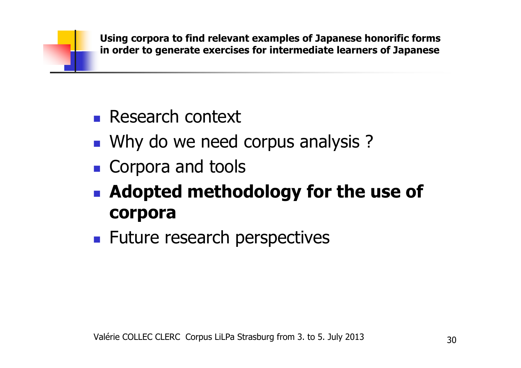- $\mathbb{R}^n$ **Research context**
- $\mathbb{R}^n$ **Notal Ky Marko we need corpus analysis ?**
- $\mathbb{R}^n$ **Corpora and tools**
- $\mathbb{R}^n$  **Adopted methodology for the use of corpora**
- $\mathbb{R}^n$ **Future research perspectives**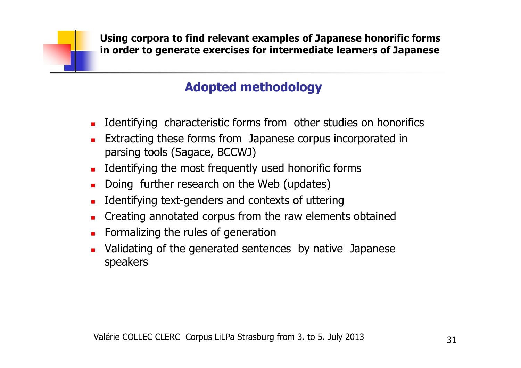## **Adopted methodology**

- **I** Identifying characteristic forms from other studies on honorifics
- **Extracting these forms from Japanese corpus incorporated in** parsing tools (Sagace, BCCWJ)
- $\blacksquare$ Identifying the most frequently used honorific forms
- $\blacksquare$ Doing further research on the Web (updates)
- □ Identifying text-genders and contexts of uttering
- $\blacksquare$ Creating annotated corpus from the raw elements obtained
- $\blacksquare$ Formalizing the rules of generation
- □ Validating of the generated sentences by native Japanese speakers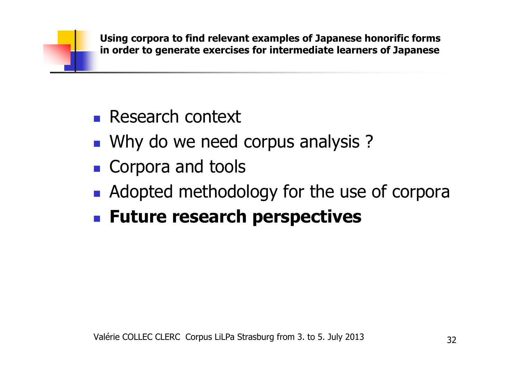- $\mathbb{R}^n$ **Research context**
- $\mathbb{R}^n$ **Notal Ky Marko we need corpus analysis ?**
- $\mathbb{R}^n$ **Corpora and tools**
- $\mathbb{R}^n$ **Adopted methodology for the use of corpora**
- $\mathbb{R}^2$ **Future research perspectives**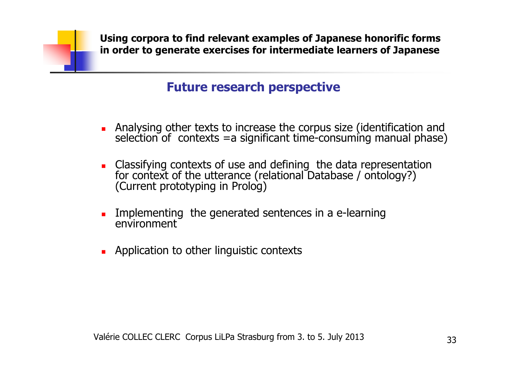### **Future research perspective**

- $\blacksquare$ Analysing other texts to increase the corpus size (identification and selection of contexts =a significant time-consuming manual phase)
- $\blacksquare$ Classifying contexts of use and defining the data representation for context of the utterance (relational Database / ontology?) (Current prototyping in Prolog)
- $\blacksquare$  Implementing the generated sentences in a e-learning environment
- $\blacksquare$ Application to other linguistic contexts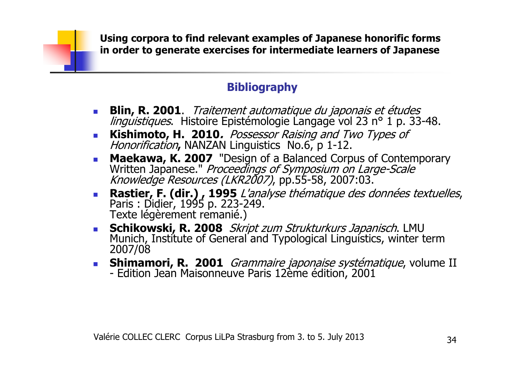### **Bibliography**

- $\mathcal{L}_{\mathcal{A}}$ **Blin, R. 2001**. *Traitement automatique du japonais et études linguistiques*. Histoire Epistémologie Langage vol 23 n° 1 p. 33-48.
- $\mathcal{L}_{\rm{max}}$ **Kishimoto, H. 2010.** Possessor Raising and Two Types of Honorification**,** NANZAN Linguistics No.6, p 1-12.
- **Maekawa, K. 2007** "Design of a Balanced Corpus of Contemporary Written Japanese." *Proceedings of Symposium on Large-Scale* Knowledge Resources (LKR2007), pp.55-58, 2007:03.  $\sim$
- **Rastier, F. (dir.), 1995** *L'analyse thématique des données textuelles*, **Contract Contract** Paris : Didier, 1995 p. 223-249. Texte légèrement remanié.)
- **Schikowski, R. 2008** Skript zum Strukturkurs Japanisch. LMU Munich, Institute of General and Typological Linguistics, winter term 2007/08
- **Shimamori, R. 2001** *Grammaire japonaise systématique*, volume II **Shimamori, R. 2001** Edition Jean Maisonneuve Paris 12ème édition, 2001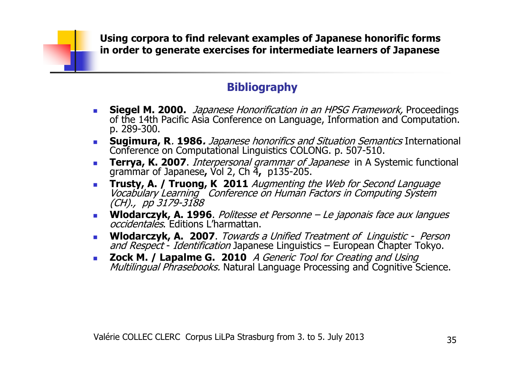### **Bibliography**

- $\mathcal{L}_{\mathcal{A}}$ **Siegel M. 2000.** *Japanese Honorification in an HPSG Framework,* Proceedings of the 14th Pacific Asia Conference on Language, Information and Computation. p. 289-300.
- **Sugimura, R**. **1986.** Japanese honorifics and Situation Semantics International Conference on Computational Linguistics COLONG. p. 507-510.
- **Terrya, K. 2007**. *Interpersonal grammar of Japanese* in A Systemic functional grammar of Japanese, Vol 2, Ch 4, p135-205.<br>**Trusty A / Truong K 2011** Augmenting the Web for Second Language
- **Trusty, A. / Truong, K 2011** Augmenting the Web for Second Language<br>Vocabulary Learning Conference on Human Factors in Computing System *(CH)., pp 3179-3188*
- **Wlodarczyk, A. 1996**. Politesse et Personne Le japonais face aux langues occidentales. Editions L'harmattan. $\mathcal{L}_{\mathcal{A}}$
- **Wlodarczyk, A. 2007**. Towards a Unified Treatment of Linguistic Person and Respect Identification Japanese Linguistics European Chapter Tokyo.  $\mathcal{L}_{\mathcal{A}}$ t - *Identification* Japanese Linguistics – European Chapter Tokyo.<br>Lanalme G – 2010 – 4 *Generic Tool for Creating and Hsing*
- **Contract Zock M. / Lapalme G. <sup>2010</sup>** A Generic Tool for Creating and Using Multilingual Phrasebooks. Natural Language Processing and Cognitive Science.